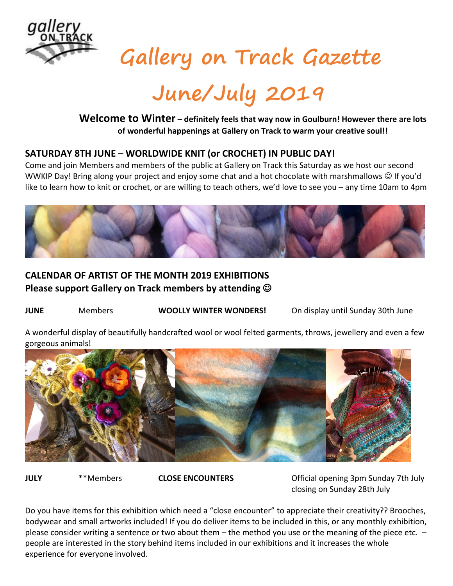

 **Gallery on Track Gazette**

# **June/July 2019**

**Welcome to Winter – definitely feels that way now in Goulburn! However there are lots of wonderful happenings at Gallery on Track to warm your creative soul!!**

## **SATURDAY 8TH JUNE – WORLDWIDE KNIT (or CROCHET) IN PUBLIC DAY!**

Come and join Members and members of the public at Gallery on Track this Saturday as we host our second WWKIP Day! Bring along your project and enjoy some chat and a hot chocolate with marshmallows  $\odot$  If you'd like to learn how to knit or crochet, or are willing to teach others, we'd love to see you – any time 10am to 4pm



#### **CALENDAR OF ARTIST OF THE MONTH 2019 EXHIBITIONS Please support Gallery on Track members by attending** ☺

**JUNE** Members **WOOLLY WINTER WONDERS!** On display until Sunday 30th June

A wonderful display of beautifully handcrafted wool or wool felted garments, throws, jewellery and even a few gorgeous animals!



**JULY** \*\*Members **CLOSE ENCOUNTERS** Official opening 3pm Sunday 7th July closing on Sunday 28th July

Do you have items for this exhibition which need a "close encounter" to appreciate their creativity?? Brooches, bodywear and small artworks included! If you do deliver items to be included in this, or any monthly exhibition, please consider writing a sentence or two about them  $-$  the method you use or the meaning of the piece etc.  $$ people are interested in the story behind items included in our exhibitions and it increases the whole experience for everyone involved.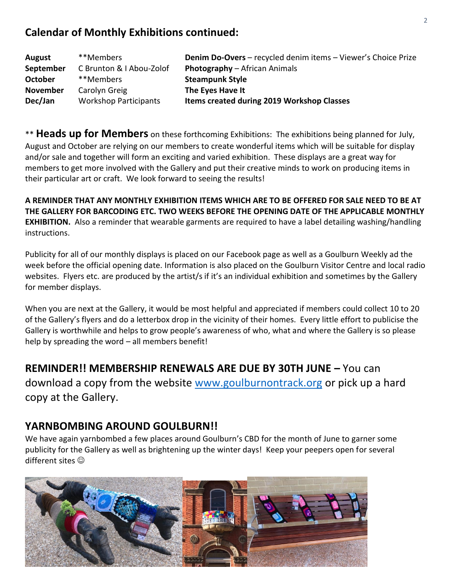# **Calendar of Monthly Exhibitions continued:**

| August          | **Members                    | Denim Do-Overs - recycled denim items - Viewer's Choice Prize |
|-----------------|------------------------------|---------------------------------------------------------------|
| September       | C Brunton & I Abou-Zolof     | <b>Photography</b> – African Animals                          |
| <b>October</b>  | **Members                    | <b>Steampunk Style</b>                                        |
| <b>November</b> | Carolyn Greig                | The Eyes Have It                                              |
| Dec/Jan         | <b>Workshop Participants</b> | Items created during 2019 Workshop Classes                    |

\*\* **Heads up for Members** on these forthcoming Exhibitions: The exhibitions being planned for July, August and October are relying on our members to create wonderful items which will be suitable for display and/or sale and together will form an exciting and varied exhibition. These displays are a great way for members to get more involved with the Gallery and put their creative minds to work on producing items in their particular art or craft. We look forward to seeing the results!

**A REMINDER THAT ANY MONTHLY EXHIBITION ITEMS WHICH ARE TO BE OFFERED FOR SALE NEED TO BE AT THE GALLERY FOR BARCODING ETC. TWO WEEKS BEFORE THE OPENING DATE OF THE APPLICABLE MONTHLY EXHIBITION.** Also a reminder that wearable garments are required to have a label detailing washing/handling instructions.

Publicity for all of our monthly displays is placed on our Facebook page as well as a Goulburn Weekly ad the week before the official opening date. Information is also placed on the Goulburn Visitor Centre and local radio websites. Flyers etc. are produced by the artist/s if it's an individual exhibition and sometimes by the Gallery for member displays.

When you are next at the Gallery, it would be most helpful and appreciated if members could collect 10 to 20 of the Gallery's flyers and do a letterbox drop in the vicinity of their homes. Every little effort to publicise the Gallery is worthwhile and helps to grow people's awareness of who, what and where the Gallery is so please help by spreading the word – all members benefit!

## **REMINDER!! MEMBERSHIP RENEWALS ARE DUE BY 30TH JUNE –** You can

download a copy from the website [www.goulburnontrack.org](http://www.goulburnontrack.org/) or pick up a hard copy at the Gallery.

## **YARNBOMBING AROUND GOULBURN!!**

We have again yarnbombed a few places around Goulburn's CBD for the month of June to garner some publicity for the Gallery as well as brightening up the winter days! Keep your peepers open for several different sites  $\odot$